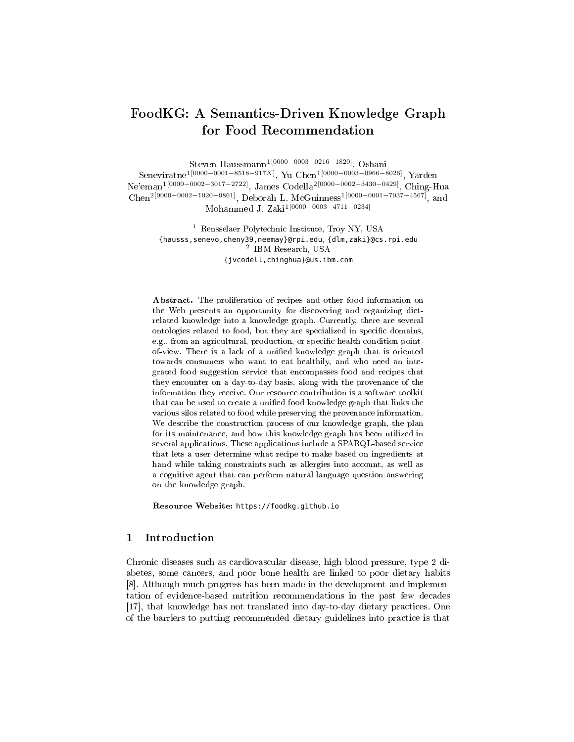# FoodKG: A Semantics-Driven Knowledge Graph for Food Recommendation

Steven Haussmann1[0000−0003−0216−1820], Oshani

Seneviratne1[0000−0001−8518−917X] , Yu Chen1[0000−0003−0966−8026], Yarden Ne'eman<sup>1</sup>[0000−0002−3017−2722], James Codella<sup>2</sup>[0000−0002−3430−0429], Ching-Hua Chen<sup>2</sup>[0000–0002–1020–0861], Deborah L. McGuinness<sup>1</sup>[0000–0001–7037–4567], and Mohammed J. Zaki1[0000−0003−4711−0234]

<sup>1</sup> Rensselaer Polytechnic Institute, Troy NY, USA {hausss,senevo,cheny39,neemay}@rpi.edu, {dlm,zaki}@cs.rpi.edu 2 IBM Research, USA {jvcodell,chinghua}@us.ibm.com

Abstract. The proliferation of recipes and other food information on the Web presents an opportunity for discovering and organizing dietrelated knowledge into a knowledge graph. Currently, there are several ontologies related to food, but they are specialized in specific domains, e.g., from an agricultural, production, or specific health condition pointof-view. There is a lack of a unified knowledge graph that is oriented towards consumers who want to eat healthily, and who need an integrated food suggestion service that encompasses food and recipes that they encounter on a day-to-day basis, along with the provenance of the information they receive. Our resource contribution is a software toolkit that can be used to create a unified food knowledge graph that links the various silos related to food while preserving the provenance information. We describe the construction process of our knowledge graph, the plan for its maintenance, and how this knowledge graph has been utilized in several applications. These applications include a SPARQL-based service that lets a user determine what recipe to make based on ingredients at hand while taking constraints such as allergies into account, as well as a cognitive agent that can perform natural language question answering on the knowledge graph.

Resource Website: https://foodkg.github.io

# 1 Introduction

Chronic diseases such as cardiovascular disease, high blood pressure, type 2 diabetes, some cancers, and poor bone health are linked to poor dietary habits [8]. Although much progress has been made in the development and implementation of evidence-based nutrition recommendations in the past few decades [17], that knowledge has not translated into day-to-day dietary practices. One of the barriers to putting recommended dietary guidelines into practice is that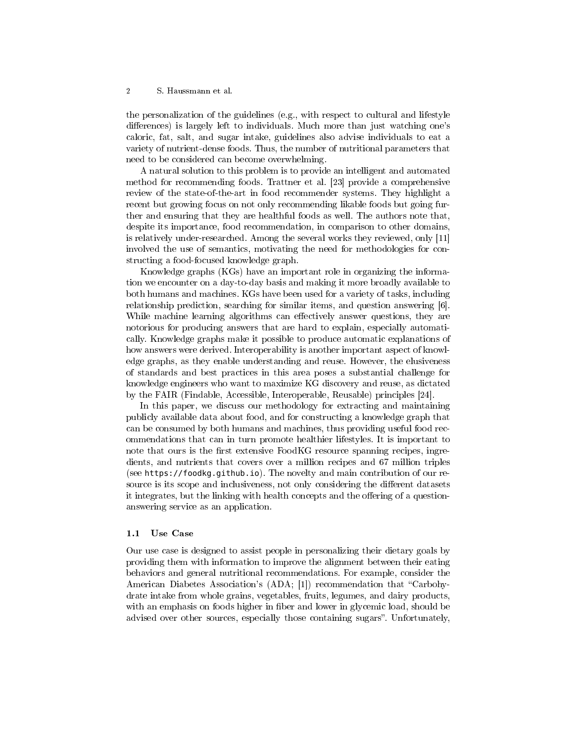the personalization of the guidelines (e.g., with respect to cultural and lifestyle differences) is largely left to individuals. Much more than just watching one's caloric, fat, salt, and sugar intake, guidelines also advise individuals to eat a variety of nutrient-dense foods. Thus, the number of nutritional parameters that need to be considered can become overwhelming.

A natural solution to this problem is to provide an intelligent and automated method for recommending foods. Trattner et al. [23] provide a comprehensive review of the state-of-the-art in food recommender systems. They highlight a recent but growing focus on not only recommending likable foods but going further and ensuring that they are healthful foods as well. The authors note that, despite its importance, food recommendation, in comparison to other domains, is relatively under-researched. Among the several works they reviewed, only [11] involved the use of semantics, motivating the need for methodologies for constructing a food-focused knowledge graph.

Knowledge graphs (KGs) have an important role in organizing the information we encounter on a day-to-day basis and making it more broadly available to both humans and machines. KGs have been used for a variety of tasks, including relationship prediction, searching for similar items, and question answering [6]. While machine learning algorithms can effectively answer questions, they are notorious for producing answers that are hard to explain, especially automatically. Knowledge graphs make it possible to produce automatic explanations of how answers were derived. Interoperability is another important aspect of knowledge graphs, as they enable understanding and reuse. However, the elusiveness of standards and best practices in this area poses a substantial challenge for knowledge engineers who want to maximize KG discovery and reuse, as dictated by the FAIR (Findable, Accessible, Interoperable, Reusable) principles [24].

In this paper, we discuss our methodology for extracting and maintaining publicly available data about food, and for constructing a knowledge graph that can be consumed by both humans and machines, thus providing useful food recommendations that can in turn promote healthier lifestyles. It is important to note that ours is the first extensive  $FoodKG$  resource spanning recipes, ingredients, and nutrients that covers over a million recipes and 67 million triples (see https://foodkg.github.io). The novelty and main contribution of our resource is its scope and inclusiveness, not only considering the different datasets it integrates, but the linking with health concepts and the offering of a questionanswering service as an application.

#### 1.1 Use Case

Our use case is designed to assist people in personalizing their dietary goals by providing them with information to improve the alignment between their eating behaviors and general nutritional recommendations. For example, consider the American Diabetes Association's (ADA; [1]) recommendation that "Carbohydrate intake from whole grains, vegetables, fruits, legumes, and dairy products, with an emphasis on foods higher in fiber and lower in glycemic load, should be advised over other sources, especially those containing sugars". Unfortunately,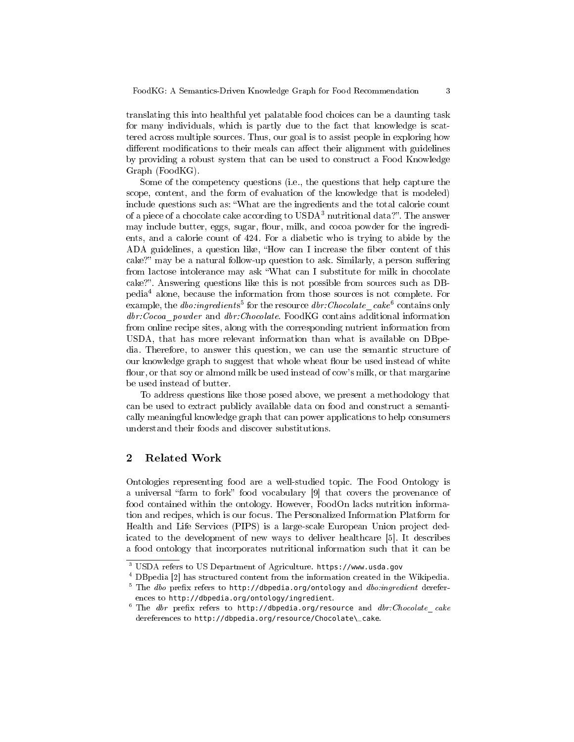translating this into healthful yet palatable food choices can be a daunting task for many individuals, which is partly due to the fact that knowledge is scattered across multiple sources. Thus, our goal is to assist people in exploring how different modifications to their meals can affect their alignment with guidelines by providing a robust system that can be used to construct a Food Knowledge Graph (FoodKG).

Some of the competency questions (i.e., the questions that help capture the scope, content, and the form of evaluation of the knowledge that is modeled) include questions such as: What are the ingredients and the total calorie count of a piece of a chocolate cake according to  $\text{USDA}^3$  nutritional data?". The answer may include butter, eggs, sugar, flour, milk, and cocoa powder for the ingredients, and a calorie count of 424. For a diabetic who is trying to abide by the ADA guidelines, a question like, "How can I increase the fiber content of this cake?" may be a natural follow-up question to ask. Similarly, a person suffering from lactose intolerance may ask What can I substitute for milk in chocolate cake?". Answering questions like this is not possible from sources such as DBpedia<sup>4</sup> alone, because the information from those sources is not complete. For  $\epsilon_{\rm example,\,the}\, \emph{dbo:} ingredients^5$  for the resource  $\emph{dbr:} Chocolate\_cake^6$  contains only dbr:Cocoa\_powder and dbr:Chocolate. FoodKG contains additional information from online recipe sites, along with the corresponding nutrient information from USDA, that has more relevant information than what is available on DBpedia. Therefore, to answer this question, we can use the semantic structure of our knowledge graph to suggest that whole wheat flour be used instead of white flour, or that soy or almond milk be used instead of cow's milk, or that margarine be used instead of butter.

To address questions like those posed above, we present a methodology that can be used to extract publicly available data on food and construct a semantically meaningful knowledge graph that can power applications to help consumers understand their foods and discover substitutions.

# 2 Related Work

Ontologies representing food are a well-studied topic. The Food Ontology is a universal "farm to fork" food vocabulary [9] that covers the provenance of food contained within the ontology. However, FoodOn lacks nutrition information and recipes, which is our focus. The Personalized Information Platform for Health and Life Services (PIPS) is a large-scale European Union project dedicated to the development of new ways to deliver healthcare [5]. It describes a food ontology that incorporates nutritional information such that it can be

<sup>3</sup> USDA refers to US Department of Agriculture. https://www.usda.gov

<sup>&</sup>lt;sup>4</sup> DBpedia [2] has structured content from the information created in the Wikipedia.

 $5$  The dbo prefix refers to http://dbpedia.org/ontology and dbo:ingredient dereferences to http://dbpedia.org/ontology/ingredient.

 $6$  The dbr prefix refers to http://dbpedia.org/resource and  $dbr:Chocolate\_cake$ dereferences to http://dbpedia.org/resource/Chocolate\\_cake.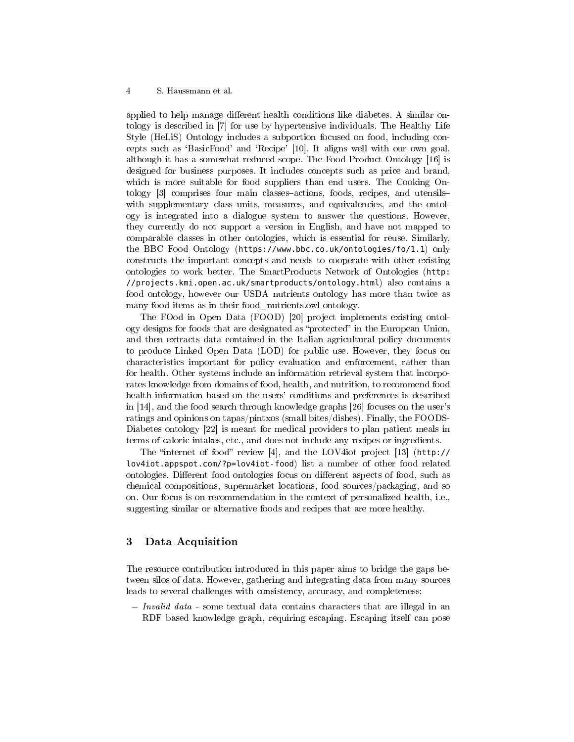applied to help manage different health conditions like diabetes. A similar ontology is described in [7] for use by hypertensive individuals. The Healthy Life Style (HeLiS) Ontology includes a subportion focused on food, including concepts such as `BasicFood' and `Recipe' [10]. It aligns well with our own goal, although it has a somewhat reduced scope. The Food Product Ontology [16] is designed for business purposes. It includes concepts such as price and brand, which is more suitable for food suppliers than end users. The Cooking Ontology [3] comprises four main classes-actions, foods, recipes, and utensilswith supplementary class units, measures, and equivalencies, and the ontology is integrated into a dialogue system to answer the questions. However, they currently do not support a version in English, and have not mapped to comparable classes in other ontologies, which is essential for reuse. Similarly, the BBC Food Ontology (https://www.bbc.co.uk/ontologies/fo/1.1) only constructs the important concepts and needs to cooperate with other existing ontologies to work better. The SmartProducts Network of Ontologies (http: //projects.kmi.open.ac.uk/smartproducts/ontology.html) also contains a food ontology, however our USDA nutrients ontology has more than twice as many food items as in their food\_nutrients.owl ontology.

The FOod in Open Data (FOOD) [20] project implements existing ontology designs for foods that are designated as "protected" in the European Union, and then extracts data contained in the Italian agricultural policy documents to produce Linked Open Data (LOD) for public use. However, they focus on characteristics important for policy evaluation and enforcement, rather than for health. Other systems include an information retrieval system that incorporates knowledge from domains of food, health, and nutrition, to recommend food health information based on the users' conditions and preferences is described in [14], and the food search through knowledge graphs [26] focuses on the user's ratings and opinions on tapas/pintxos (small bites/dishes). Finally, the FOODS-Diabetes ontology [22] is meant for medical providers to plan patient meals in terms of caloric intakes, etc., and does not include any recipes or ingredients.

The "internet of food" review [4], and the LOV4iot project  $[13]$  (http:// lov4iot.appspot.com/?p=lov4iot-food) list a number of other food related ontologies. Different food ontologies focus on different aspects of food, such as chemical compositions, supermarket locations, food sources/packaging, and so on. Our focus is on recommendation in the context of personalized health, i.e., suggesting similar or alternative foods and recipes that are more healthy.

# 3 Data Acquisition

The resource contribution introduced in this paper aims to bridge the gaps between silos of data. However, gathering and integrating data from many sources leads to several challenges with consistency, accuracy, and completeness:

- Invalid data - some textual data contains characters that are illegal in an RDF based knowledge graph, requiring escaping. Escaping itself can pose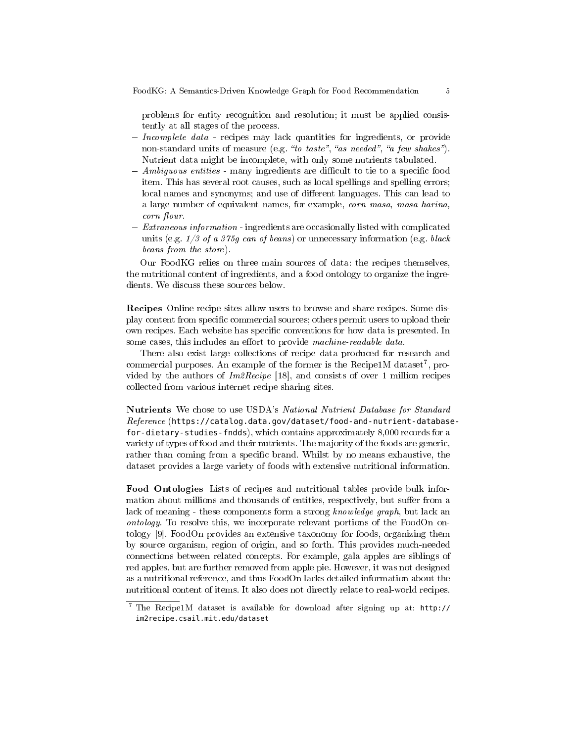problems for entity recognition and resolution; it must be applied consistently at all stages of the process.

- $\overline{I}$  *Incomplete data* recipes may lack quantities for ingredients, or provide non-standard units of measure (e.g. "to taste", "as needed", "a few shakes"). Nutrient data might be incomplete, with only some nutrients tabulated.
- $-$  Ambiguous entities  $-$  many ingredients are difficult to tie to a specific food item. This has several root causes, such as local spellings and spelling errors; local names and synonyms; and use of different languages. This can lead to a large number of equivalent names, for example, corn masa, masa harina, corn flour.
- $\overline{E}$  =  $Extraneous information$  ingredients are occasionally listed with complicated units (e.g.  $1/3$  of a 375g can of beans) or unnecessary information (e.g. black beans from the store).

Our FoodKG relies on three main sources of data: the recipes themselves, the nutritional content of ingredients, and a food ontology to organize the ingredients. We discuss these sources below.

Recipes Online recipe sites allow users to browse and share recipes. Some display content from specific commercial sources; others permit users to upload their own recipes. Each website has specific conventions for how data is presented. In some cases, this includes an effort to provide *machine-readable data*.

There also exist large collections of recipe data produced for research and commercial purposes. An example of the former is the Recipe1M dataset<sup>7</sup>, provided by the authors of Im2Recipe [18], and consists of over 1 million recipes collected from various internet recipe sharing sites.

Nutrients We chose to use USDA's National Nutrient Database for Standard Reference (https://catalog.data.gov/dataset/food-and-nutrient-databasefor-dietary-studies-fndds), which contains approximately 8,000 records for a variety of types of food and their nutrients. The majority of the foods are generic, rather than coming from a specific brand. Whilst by no means exhaustive, the dataset provides a large variety of foods with extensive nutritional information.

Food Ontologies Lists of recipes and nutritional tables provide bulk information about millions and thousands of entities, respectively, but suffer from a lack of meaning - these components form a strong knowledge graph, but lack an ontology. To resolve this, we incorporate relevant portions of the FoodOn ontology [9]. FoodOn provides an extensive taxonomy for foods, organizing them by source organism, region of origin, and so forth. This provides much-needed connections between related concepts. For example, gala apples are siblings of red apples, but are further removed from apple pie. However, it was not designed as a nutritional reference, and thus FoodOn lacks detailed information about the nutritional content of items. It also does not directly relate to real-world recipes.

<sup>7</sup> The Recipe1M dataset is available for download after signing up at: http:// im2recipe.csail.mit.edu/dataset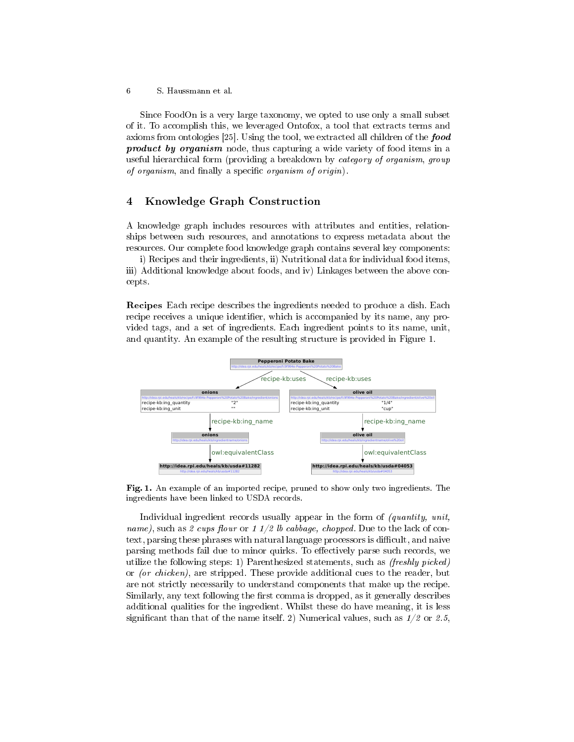Since FoodOn is a very large taxonomy, we opted to use only a small subset of it. To accomplish this, we leveraged Ontofox, a tool that extracts terms and axioms from ontologies [25]. Using the tool, we extracted all children of the food product by organism node, thus capturing a wide variety of food items in a useful hierarchical form (providing a breakdown by category of organism, group of organism, and finally a specific organism of origin).

### 4 Knowledge Graph Construction

A knowledge graph includes resources with attributes and entities, relationships between such resources, and annotations to express metadata about the resources. Our complete food knowledge graph contains several key components:

i) Recipes and their ingredients, ii) Nutritional data for individual food items, iii) Additional knowledge about foods, and iv) Linkages between the above concepts.

Recipes Each recipe describes the ingredients needed to produce a dish. Each recipe receives a unique identifier, which is accompanied by its name, any provided tags, and a set of ingredients. Each ingredient points to its name, unit, and quantity. An example of the resulting structure is provided in Figure 1.



Fig. 1. An example of an imported recipe, pruned to show only two ingredients. The ingredients have been linked to USDA records.

Individual ingredient records usually appear in the form of *(quantity, unit,* name), such as 2 cups flour or 1  $1/2$  lb cabbage, chopped. Due to the lack of context, parsing these phrases with natural language processors is difficult, and naive parsing methods fail due to minor quirks. To effectively parse such records, we utilize the following steps: 1) Parenthesized statements, such as (freshly picked) or (or chicken), are stripped. These provide additional cues to the reader, but are not strictly necessarily to understand components that make up the recipe. Similarly, any text following the first comma is dropped, as it generally describes additional qualities for the ingredient. Whilst these do have meaning, it is less significant than that of the name itself. 2) Numerical values, such as  $1/2$  or 2.5,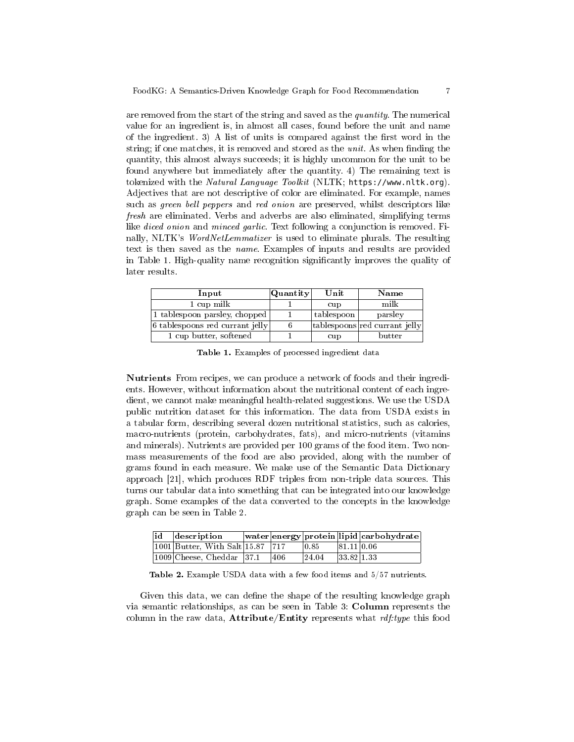are removed from the start of the string and saved as the *quantity*. The numerical value for an ingredient is, in almost all cases, found before the unit and name of the ingredient. 3) A list of units is compared against the first word in the string; if one matches, it is removed and stored as the *unit*. As when finding the quantity, this almost always succeeds; it is highly uncommon for the unit to be found anywhere but immediately after the quantity. 4) The remaining text is tokenized with the Natural Language Toolkit (NLTK; https://www.nltk.org). Adjectives that are not descriptive of color are eliminated. For example, names such as *green bell peppers* and *red onion* are preserved, whilst descriptors like fresh are eliminated. Verbs and adverbs are also eliminated, simplifying terms like *diced onion* and *minced garlic*. Text following a conjunction is removed. Finally, NLTK's *WordNetLemmatizer* is used to eliminate plurals. The resulting text is then saved as the name. Examples of inputs and results are provided in Table 1. High-quality name recognition significantly improves the quality of later results.

| Input                           | Quantity | Unit       | Name                          |
|---------------------------------|----------|------------|-------------------------------|
| 1 cup milk                      |          | cup        | milk                          |
| 1 tablespoon parsley, chopped   |          | tablespoon | parsley                       |
| 6 tablespoons red currant jelly |          |            | tablespoons red currant jelly |
| 1 cup butter, softened          |          | cup        | butter                        |

Table 1. Examples of processed ingredient data

Nutrients From recipes, we can produce a network of foods and their ingredients. However, without information about the nutritional content of each ingredient, we cannot make meaningful health-related suggestions. We use the USDA public nutrition dataset for this information. The data from USDA exists in a tabular form, describing several dozen nutritional statistics, such as calories, macro-nutrients (protein, carbohydrates, fats), and micro-nutrients (vitamins and minerals). Nutrients are provided per 100 grams of the food item. Two nonmass measurements of the food are also provided, along with the number of grams found in each measure. We make use of the Semantic Data Dictionary approach [21], which produces RDF triples from non-triple data sources. This turns our tabular data into something that can be integrated into our knowledge graph. Some examples of the data converted to the concepts in the knowledge graph can be seen in Table 2.

| id | $\deg$ description                |       |       |            | water energy protein lipid carbohydrate |
|----|-----------------------------------|-------|-------|------------|-----------------------------------------|
|    | 1001 Butter, With Salt 15.87  717 |       | 0.85  | 81.11 0.06 |                                         |
|    | $ 1009 $ Cheese, Cheddar $ 37.1 $ | 1406. | 24.04 | 33.82 1.33 |                                         |

Table 2. Example USDA data with a few food items and 5/57 nutrients.

Given this data, we can define the shape of the resulting knowledge graph via semantic relationships, as can be seen in Table 3: Column represents the column in the raw data,  $Attribute/Entity$  represents what  $rdf-type$  this food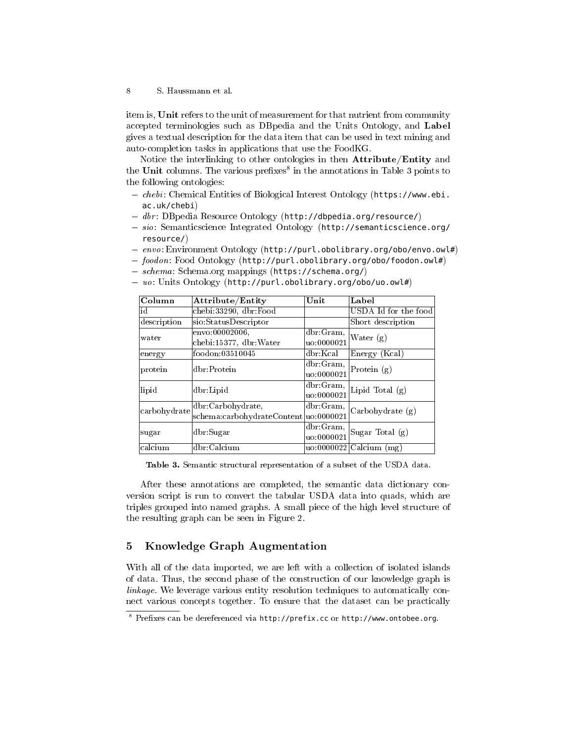item is, Unit refers to the unit of measurement for that nutrient from community accepted terminologies such as DBpedia and the Units Ontology, and Label gives a textual description for the data item that can be used in text mining and auto-completion tasks in applications that use the FoodKG.

Notice the interlinking to other ontologies in then Attribute/Entity and the Unit columns. The various prefixes<sup>8</sup> in the annotations in Table 3 points to the following ontologies:

- chebi: Chemical Entities of Biological Interest Ontology (https://www.ebi. ac.uk/chebi)
- $-dbr$ : DBpedia Resource Ontology (http://dbpedia.org/resource/)
- $s = sio$ : Semanticscience Integrated Ontology (http://semanticscience.org/ resource/)
- $e^{-i\theta}$  = envo: Environment Ontology (http://purl.obolibrary.org/obo/envo.owl#)
- foodon: Food Ontology (http://purl.obolibrary.org/obo/foodon.owl#)
- $-$  schema: Schema.org mappings (https://schema.org/)
- Column Attribute/Entity Unit Label id chebi:33290, dbr:Food USDA Id for the food description sio:StatusDescriptor Short description water envo:00002006, chebi:15377, dbr:Water dbr:Gram,  $\frac{u_{01}, u_{12}, u_{23}}{u_{01}, 0000021}$  Water (g) energy foodon:03510045 dbr:Kcal Energy (Kcal) protein dbr:Protein  $\left|\frac{\text{dbr:Gram}}{\text{uo:0000021}}\right|$ Protein (g) lipid  $\begin{vmatrix} \text{dbr:Lipid} & \text{dbr:Gram}, \ \text{uo:}0000021 & \text{uo:}0000021 \end{vmatrix}$ Lipid Total (g) carbohydrate dbr:Carbohydrate, schema:carbohydrateContent dbr:Gram,  $\begin{bmatrix} \text{u}_{01}, \text{u}_{1} & \text{u}_{11}, \\ \text{u}_{01}, \text{u}_{0000021} \end{bmatrix}$  Carbohydrate (g) sugar dbr:Sugar dbr:Sugar dbr:Gram, Sugar Total  $(g)$ calcium dbr:Calcium uo:0000022 Calcium (mg)
- $uo:$  Units Ontology (http://purl.obolibrary.org/obo/uo.owl#)

Table 3. Semantic structural representation of a subset of the USDA data.

After these annotations are completed, the semantic data dictionary conversion script is run to convert the tabular USDA data into quads, which are triples grouped into named graphs. A small piece of the high level structure of the resulting graph can be seen in Figure 2.

# 5 Knowledge Graph Augmentation

With all of the data imported, we are left with a collection of isolated islands of data. Thus, the second phase of the construction of our knowledge graph is linkage. We leverage various entity resolution techniques to automatically connect various concepts together. To ensure that the dataset can be practically

 $8$  Prefixes can be dereferenced via http://prefix.cc or http://www.ontobee.org.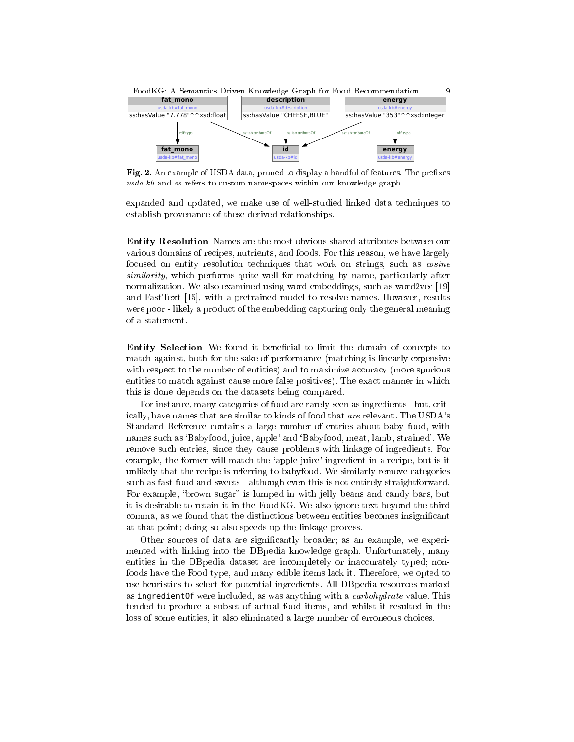

Fig. 2. An example of USDA data, pruned to display a handful of features. The prefixes usda-kb and ss refers to custom namespaces within our knowledge graph.

expanded and updated, we make use of well-studied linked data techniques to establish provenance of these derived relationships.

Entity Resolution Names are the most obvious shared attributes between our various domains of recipes, nutrients, and foods. For this reason, we have largely focused on entity resolution techniques that work on strings, such as cosine similarity, which performs quite well for matching by name, particularly after normalization. We also examined using word embeddings, such as word2vec [19] and FastText [15], with a pretrained model to resolve names. However, results were poor - likely a product of the embedding capturing only the general meaning of a statement.

**Entity Selection** We found it beneficial to limit the domain of concepts to match against, both for the sake of performance (matching is linearly expensive with respect to the number of entities) and to maximize accuracy (more spurious entities to match against cause more false positives). The exact manner in which this is done depends on the datasets being compared.

For instance, many categories of food are rarely seen as ingredients - but, critically, have names that are similar to kinds of food that are relevant. The USDA's Standard Reference contains a large number of entries about baby food, with names such as 'Babyfood, juice, apple' and 'Babyfood, meat, lamb, strained'. We remove such entries, since they cause problems with linkage of ingredients. For example, the former will match the 'apple juice' ingredient in a recipe, but is it unlikely that the recipe is referring to babyfood. We similarly remove categories such as fast food and sweets - although even this is not entirely straightforward. For example, "brown sugar" is lumped in with jelly beans and candy bars, but it is desirable to retain it in the FoodKG. We also ignore text beyond the third comma, as we found that the distinctions between entities becomes insignicant at that point; doing so also speeds up the linkage process.

Other sources of data are signicantly broader; as an example, we experimented with linking into the DBpedia knowledge graph. Unfortunately, many entities in the DBpedia dataset are incompletely or inaccurately typed; nonfoods have the Food type, and many edible items lack it. Therefore, we opted to use heuristics to select for potential ingredients. All DBpedia resources marked as **ingredient0f** were included, as was anything with a *carbohydrate* value. This tended to produce a subset of actual food items, and whilst it resulted in the loss of some entities, it also eliminated a large number of erroneous choices.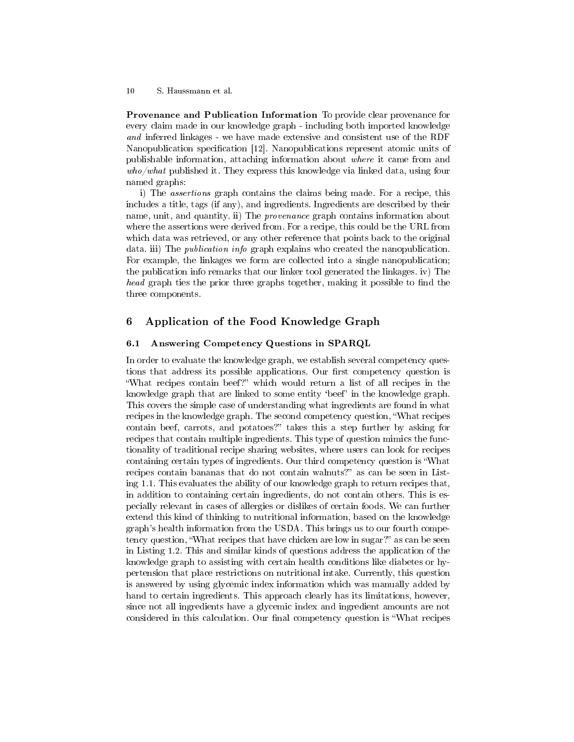Provenance and Publication Information To provide clear provenance for every claim made in our knowledge graph - including both imported knowledge and inferred linkages - we have made extensive and consistent use of the RDF Nanopublication specification [12]. Nanopublications represent atomic units of publishable information, attaching information about where it came from and  $who/what$  published it. They express this knowledge via linked data, using four named graphs:

i) The assertions graph contains the claims being made. For a recipe, this includes a title, tags (if any), and ingredients. Ingredients are described by their name, unit, and quantity. ii) The *provenance* graph contains information about where the assertions were derived from. For a recipe, this could be the URL from which data was retrieved, or any other reference that points back to the original data. iii) The *publication info* graph explains who created the nanopublication. For example, the linkages we form are collected into a single nanopublication; the publication info remarks that our linker tool generated the linkages. iv) The head graph ties the prior three graphs together, making it possible to find the three components.

# 6 Application of the Food Knowledge Graph

### 6.1 Answering Competency Questions in SPARQL

In order to evaluate the knowledge graph, we establish several competency questions that address its possible applications. Our first competency question is "What recipes contain beef?" which would return a list of all recipes in the knowledge graph that are linked to some entity 'beef' in the knowledge graph. This covers the simple case of understanding what ingredients are found in what recipes in the knowledge graph. The second competency question, What recipes contain beef, carrots, and potatoes?" takes this a step further by asking for recipes that contain multiple ingredients. This type of question mimics the functionality of traditional recipe sharing websites, where users can look for recipes containing certain types of ingredients. Our third competency question is What recipes contain bananas that do not contain walnuts?" as can be seen in Listing 1.1. This evaluates the ability of our knowledge graph to return recipes that, in addition to containing certain ingredients, do not contain others. This is especially relevant in cases of allergies or dislikes of certain foods. We can further extend this kind of thinking to nutritional information, based on the knowledge graph's health information from the USDA. This brings us to our fourth competency question, "What recipes that have chicken are low in sugar?" as can be seen in Listing 1.2. This and similar kinds of questions address the application of the knowledge graph to assisting with certain health conditions like diabetes or hypertension that place restrictions on nutritional intake. Currently, this question is answered by using glycemic index information which was manually added by hand to certain ingredients. This approach clearly has its limitations, however, since not all ingredients have a glycemic index and ingredient amounts are not considered in this calculation. Our final competency question is "What recipes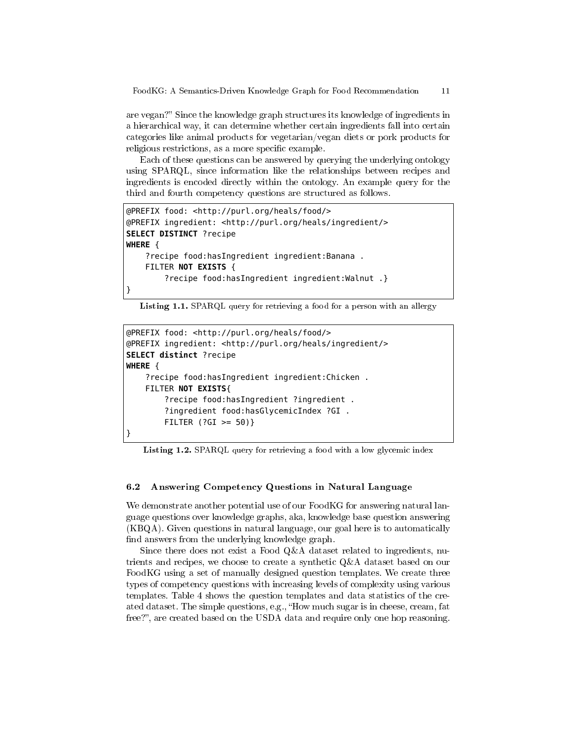are vegan?" Since the knowledge graph structures its knowledge of ingredients in a hierarchical way, it can determine whether certain ingredients fall into certain categories like animal products for vegetarian/vegan diets or pork products for religious restrictions, as a more specific example.

Each of these questions can be answered by querying the underlying ontology using SPARQL, since information like the relationships between recipes and ingredients is encoded directly within the ontology. An example query for the third and fourth competency questions are structured as follows.

```
@PREFIX food: <http://purl.org/heals/food/>
@PREFIX ingredient: <http://purl.org/heals/ingredient/>
SELECT DISTINCT ?recipe
WHERE {
    ?recipe food:hasIngredient ingredient:Banana .
    FILTER NOT EXISTS {
        ?recipe food:hasIngredient ingredient:Walnut .}
}
```
Listing 1.1. SPARQL query for retrieving a food for a person with an allergy

```
@PREFIX food: <http://purl.org/heals/food/>
@PREFIX ingredient: <http://purl.org/heals/ingredient/>
SELECT distinct ?recipe
WHERE {
    ?recipe food:hasIngredient ingredient:Chicken .
    FILTER NOT EXISTS{
        ?recipe food:hasIngredient ?ingredient .
        ?ingredient food:hasGlycemicIndex ?GI .
        FILTER (?GI >= 50)}
}
```
Listing 1.2. SPARQL query for retrieving a food with a low glycemic index

#### 6.2 Answering Competency Questions in Natural Language

We demonstrate another potential use of our FoodKG for answering natural language questions over knowledge graphs, aka, knowledge base question answering (KBQA). Given questions in natural language, our goal here is to automatically find answers from the underlying knowledge graph.

Since there does not exist a Food Q&A dataset related to ingredients, nutrients and recipes, we choose to create a synthetic Q&A dataset based on our FoodKG using a set of manually designed question templates. We create three types of competency questions with increasing levels of complexity using various templates. Table 4 shows the question templates and data statistics of the created dataset. The simple questions, e.g., "How much sugar is in cheese, cream, fat free?", are created based on the USDA data and require only one hop reasoning.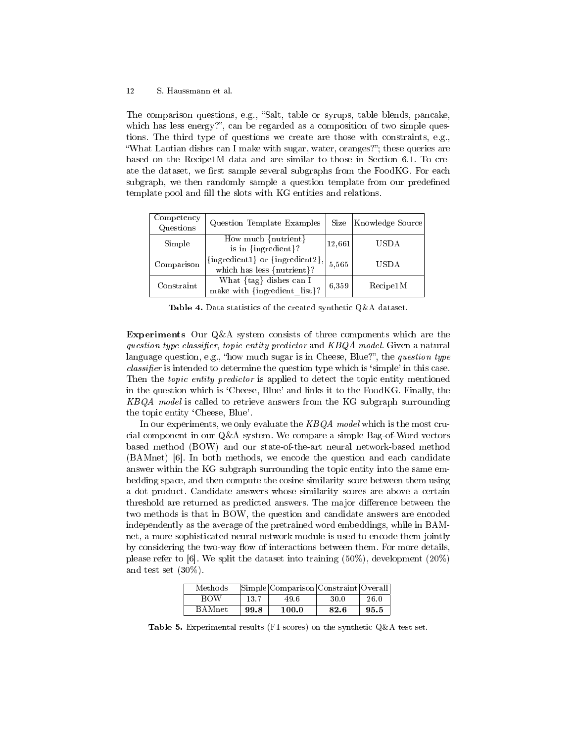The comparison questions, e.g., "Salt, table or syrups, table blends, pancake, which has less energy?", can be regarded as a composition of two simple questions. The third type of questions we create are those with constraints, e.g., "What Laotian dishes can I make with sugar, water, oranges?"; these queries are based on the Recipe1M data and are similar to those in Section 6.1. To create the dataset, we first sample several subgraphs from the FoodKG. For each subgraph, we then randomly sample a question template from our predefined template pool and fill the slots with KG entities and relations.

| Competency<br>Questions | Question Template Examples                                                             | Size   | Knowledge Source     |
|-------------------------|----------------------------------------------------------------------------------------|--------|----------------------|
| Simple                  | How much $\{$ nutrient $\}$<br>is in {ingredient}?                                     | 12.661 | <b>USDA</b>          |
| Comparison              | $\{\text{ingreatient1}\}$ or $\{\text{ingreatient2}\},\$<br>which has less {nutrient}? | 5,565  | USDA                 |
| Constraint              | What {tag} dishes can I<br>make with {ingredient list}?                                | 6,359  | Recipel <sub>M</sub> |

Table 4. Data statistics of the created synthetic Q&A dataset.

Experiments Our Q&A system consists of three components which are the question type classifier, topic entity predictor and  $KBA$  model. Given a natural language question, e.g., "how much sugar is in Cheese, Blue?", the question type classifier is intended to determine the question type which is 'simple' in this case. Then the *topic entity predictor* is applied to detect the topic entity mentioned in the question which is 'Cheese, Blue' and links it to the FoodKG. Finally, the KBQA model is called to retrieve answers from the KG subgraph surrounding the topic entity `Cheese, Blue'.

In our experiments, we only evaluate the  $KBQA \ model$  which is the most crucial component in our Q&A system. We compare a simple Bag-of-Word vectors based method (BOW) and our state-of-the-art neural network-based method (BAMnet) [6]. In both methods, we encode the question and each candidate answer within the KG subgraph surrounding the topic entity into the same embedding space, and then compute the cosine similarity score between them using a dot product. Candidate answers whose similarity scores are above a certain threshold are returned as predicted answers. The major difference between the two methods is that in BOW, the question and candidate answers are encoded independently as the average of the pretrained word embeddings, while in BAMnet, a more sophisticated neural network module is used to encode them jointly by considering the two-way flow of interactions between them. For more details, please refer to [6]. We split the dataset into training  $(50\%)$ , development  $(20\%)$ and test set (30%).

| Methods       |      | $ \text{Simple} $ Comparison $ \text{Constant} $ Overall |      |      |
|---------------|------|----------------------------------------------------------|------|------|
| <b>BOW</b>    | 13.7 | 49.6                                                     | 30 O | 26.0 |
| <b>BAMnet</b> | 99.8 | 100.0                                                    | 82.6 | 95.5 |

Table 5. Experimental results (F1-scores) on the synthetic Q&A test set.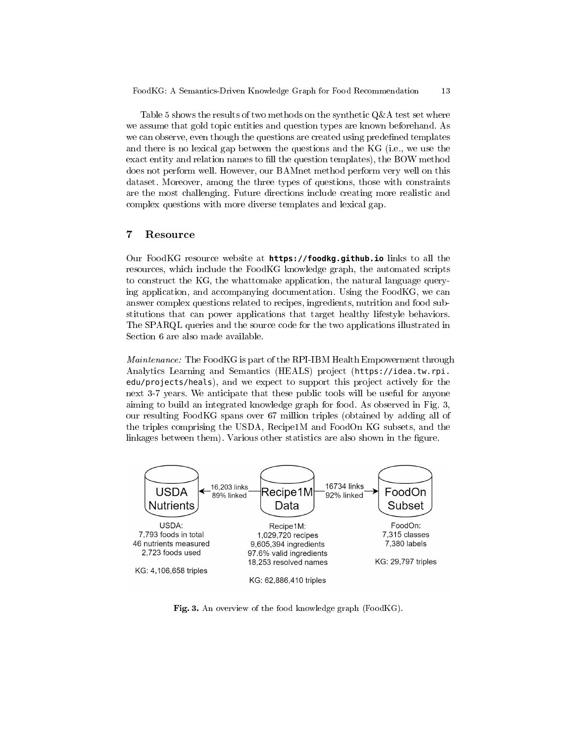Table 5 shows the results of two methods on the synthetic Q&A test set where we assume that gold topic entities and question types are known beforehand. As we can observe, even though the questions are created using predefined templates and there is no lexical gap between the questions and the KG (i.e., we use the exact entity and relation names to fill the question templates), the BOW method does not perform well. However, our BAMnet method perform very well on this dataset. Moreover, among the three types of questions, those with constraints are the most challenging. Future directions include creating more realistic and complex questions with more diverse templates and lexical gap.

#### 7 Resource

Our FoodKG resource website at **https://foodkg.github.io** links to all the resources, which include the FoodKG knowledge graph, the automated scripts to construct the KG, the whattomake application, the natural language querying application, and accompanying documentation. Using the FoodKG, we can answer complex questions related to recipes, ingredients, nutrition and food substitutions that can power applications that target healthy lifestyle behaviors. The SPARQL queries and the source code for the two applications illustrated in Section 6 are also made available.

Maintenance: The FoodKG is part of the RPI-IBM Health Empowerment through Analytics Learning and Semantics (HEALS) project (https://idea.tw.rpi. edu/projects/heals), and we expect to support this project actively for the next 3-7 years. We anticipate that these public tools will be useful for anyone aiming to build an integrated knowledge graph for food. As observed in Fig. 3, our resulting FoodKG spans over 67 million triples (obtained by adding all of the triples comprising the USDA, Recipe1M and FoodOn KG subsets, and the linkages between them). Various other statistics are also shown in the figure.



Fig. 3. An overview of the food knowledge graph (FoodKG).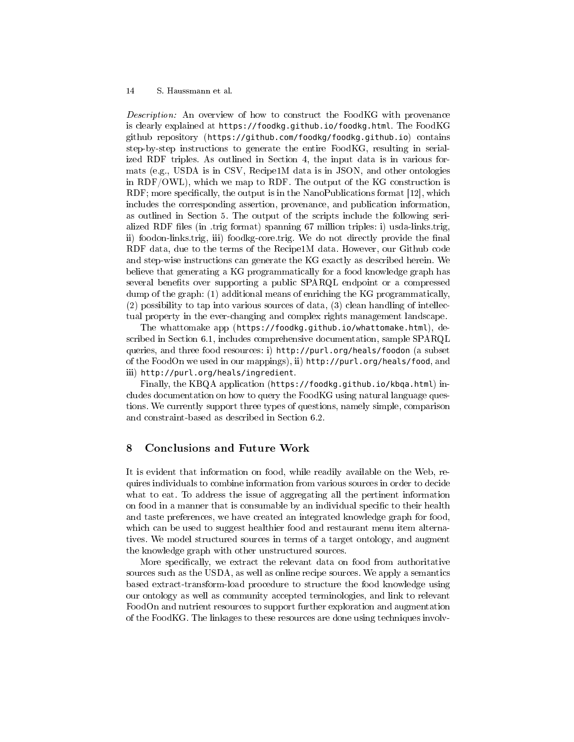Description: An overview of how to construct the FoodKG with provenance is clearly explained at https://foodkg.github.io/foodkg.html. The FoodKG github repository (https://github.com/foodkg/foodkg.github.io) contains step-by-step instructions to generate the entire FoodKG, resulting in serialized RDF triples. As outlined in Section 4, the input data is in various formats (e.g., USDA is in CSV, Recipe1M data is in JSON, and other ontologies in RDF/OWL), which we map to RDF. The output of the KG construction is RDF; more specifically, the output is in the NanoPublications format  $[12]$ , which includes the corresponding assertion, provenance, and publication information, as outlined in Section 5. The output of the scripts include the following serialized RDF files (in .trig format) spanning 67 million triples: i) usda-links.trig, ii) foodon-links.trig, iii) foodkg-core.trig. We do not directly provide the final RDF data, due to the terms of the Recipe1M data. However, our Github code and step-wise instructions can generate the KG exactly as described herein. We believe that generating a KG programmatically for a food knowledge graph has several benefits over supporting a public SPARQL endpoint or a compressed dump of the graph: (1) additional means of enriching the KG programmatically, (2) possibility to tap into various sources of data, (3) clean handling of intellectual property in the ever-changing and complex rights management landscape.

The whattomake app (https://foodkg.github.io/whattomake.html), described in Section 6.1, includes comprehensive documentation, sample SPARQL queries, and three food resources: i) http://purl.org/heals/foodon (a subset of the FoodOn we used in our mappings), ii) http://purl.org/heals/food, and iii) http://purl.org/heals/ingredient.

Finally, the KBQA application (https://foodkg.github.io/kbqa.html) includes documentation on how to query the FoodKG using natural language questions. We currently support three types of questions, namely simple, comparison and constraint-based as described in Section 6.2.

# 8 Conclusions and Future Work

It is evident that information on food, while readily available on the Web, requires individuals to combine information from various sources in order to decide what to eat. To address the issue of aggregating all the pertinent information on food in a manner that is consumable by an individual specific to their health and taste preferences, we have created an integrated knowledge graph for food, which can be used to suggest healthier food and restaurant menu item alternatives. We model structured sources in terms of a target ontology, and augment the knowledge graph with other unstructured sources.

More specifically, we extract the relevant data on food from authoritative sources such as the USDA, as well as online recipe sources. We apply a semantics based extract-transform-load procedure to structure the food knowledge using our ontology as well as community accepted terminologies, and link to relevant FoodOn and nutrient resources to support further exploration and augmentation of the FoodKG. The linkages to these resources are done using techniques involv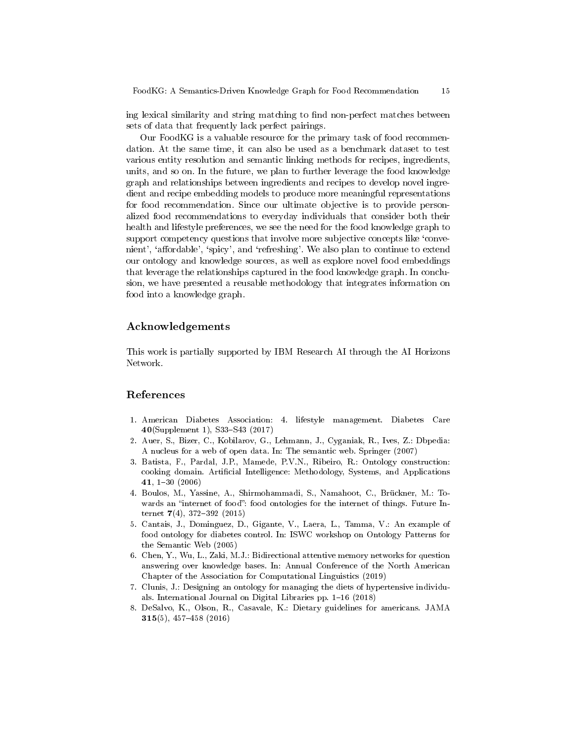ing lexical similarity and string matching to find non-perfect matches between sets of data that frequently lack perfect pairings.

Our FoodKG is a valuable resource for the primary task of food recommendation. At the same time, it can also be used as a benchmark dataset to test various entity resolution and semantic linking methods for recipes, ingredients, units, and so on. In the future, we plan to further leverage the food knowledge graph and relationships between ingredients and recipes to develop novel ingredient and recipe embedding models to produce more meaningful representations for food recommendation. Since our ultimate objective is to provide personalized food recommendations to everyday individuals that consider both their health and lifestyle preferences, we see the need for the food knowledge graph to support competency questions that involve more subjective concepts like 'convenient', 'affordable', 'spicy', and 'refreshing'. We also plan to continue to extend our ontology and knowledge sources, as well as explore novel food embeddings that leverage the relationships captured in the food knowledge graph. In conclusion, we have presented a reusable methodology that integrates information on food into a knowledge graph.

### Acknowledgements

This work is partially supported by IBM Research AI through the AI Horizons Network.

### References

- 1. American Diabetes Association: 4. lifestyle management. Diabetes Care  $40(Supplement 1), S33-S43 (2017)$
- 2. Auer, S., Bizer, C., Kobilarov, G., Lehmann, J., Cyganiak, R., Ives, Z.: Dbpedia: A nucleus for a web of open data. In: The semantic web. Springer (2007)
- 3. Batista, F., Pardal, J.P., Mamede, P.V.N., Ribeiro, R.: Ontology construction: cooking domain. Articial Intelligence: Methodology, Systems, and Applications 41,  $1-30$  (2006)
- 4. Boulos, M., Yassine, A., Shirmohammadi, S., Namahoot, C., Brückner, M.: Towards an "internet of food": food ontologies for the internet of things. Future Internet  $7(4)$ , 372-392 (2015)
- 5. Cantais, J., Dominguez, D., Gigante, V., Laera, L., Tamma, V.: An example of food ontology for diabetes control. In: ISWC workshop on Ontology Patterns for the Semantic Web (2005)
- 6. Chen, Y., Wu, L., Zaki, M.J.: Bidirectional attentive memory networks for question answering over knowledge bases. In: Annual Conference of the North American Chapter of the Association for Computational Linguistics (2019)
- 7. Clunis, J.: Designing an ontology for managing the diets of hypertensive individuals. International Journal on Digital Libraries pp. 1-16 (2018)
- 8. DeSalvo, K., Olson, R., Casavale, K.: Dietary guidelines for americans. JAMA 315(5),  $457-458$  (2016)